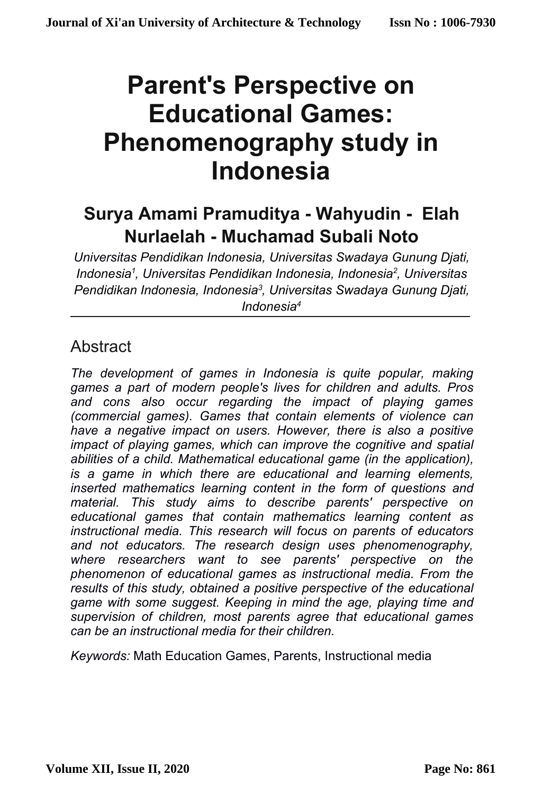# **Parent's Perspective on Educational Games: Phenomenography study in Indonesia**

# **Surya Amami Pramuditya - Wahyudin - Elah Nurlaelah - Muchamad Subali Noto**

*Universitas Pendidikan Indonesia, Universitas Swadaya Gunung Djati, Indonesia1 , Universitas Pendidikan Indonesia, Indonesia2 , Universitas Pendidikan Indonesia, Indonesia3 , Universitas Swadaya Gunung Djati, Indonesia4*

# **Abstract**

*The development of games in Indonesia is quite popular, making games a part of modern people's lives for children and adults. Pros and cons also occur regarding the impact of playing games (commercial games). Games that contain elements of violence can have a negative impact on users. However, there is also a positive impact of playing games, which can improve the cognitive and spatial abilities of a child. Mathematical educational game (in the application), is a game in which there are educational and learning elements, inserted mathematics learning content in the form of questions and material. This study aims to describe parents' perspective on educational games that contain mathematics learning content as instructional media. This research will focus on parents of educators and not educators. The research design uses phenomenography, where researchers want to see parents' perspective on the phenomenon of educational games as instructional media. From the results of this study, obtained a positive perspective of the educational game with some suggest. Keeping in mind the age, playing time and supervision of children, most parents agree that educational games can be an instructional media for their children.*

*Keywords:* Math Education Games, Parents, Instructional media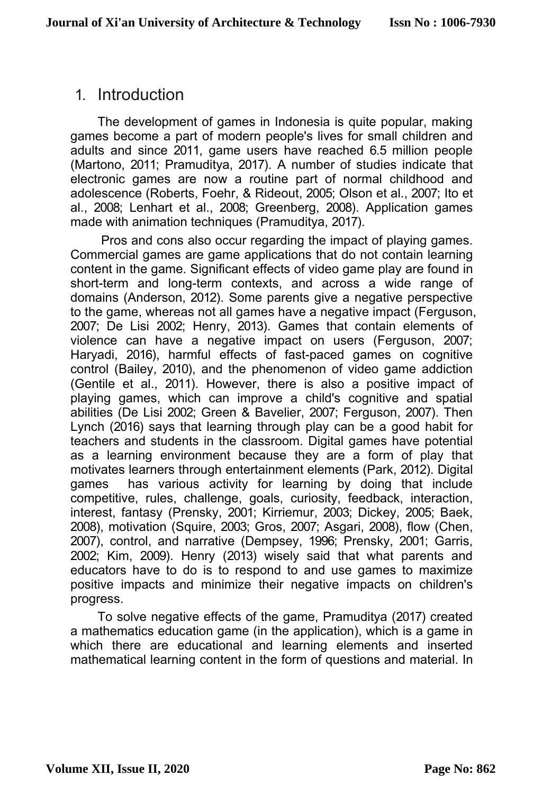# 1. Introduction

The development of games in Indonesia is quite popular, making games become a part of modern people's lives for small children and adults and since 2011, game users have reached 6.5 million people (Martono, 2011; Pramuditya, 2017). A number of studies indicate that electronic games are now a routine part of normal childhood and adolescence (Roberts, Foehr, & Rideout, 2005; Olson et al., 2007; Ito et al., 2008; Lenhart et al., 2008; Greenberg, 2008). Application games made with animation techniques (Pramuditya, 2017).

Pros and cons also occur regarding the impact of playing games. Commercial games are game applications that do not contain learning content in the game. Significant effects of video game play are found in short-term and long-term contexts, and across a wide range of domains (Anderson, 2012). Some parents give a negative perspective to the game, whereas not all games have a negative impact (Ferguson, 2007; De Lisi 2002; Henry, 2013). Games that contain elements of violence can have a negative impact on users (Ferguson, 2007; Haryadi, 2016), harmful effects of fast-paced games on cognitive control (Bailey, 2010), and the phenomenon of video game addiction (Gentile et al., 2011). However, there is also a positive impact of playing games, which can improve a child's cognitive and spatial abilities (De Lisi 2002; Green & Bavelier, 2007; Ferguson, 2007). Then Lynch (2016) says that learning through play can be a good habit for teachers and students in the classroom. Digital games have potential as a learning environment because they are a form of play that motivates learners through entertainment elements (Park, 2012). Digital games has various activity for learning by doing that include competitive, rules, challenge, goals, curiosity, feedback, interaction, interest, fantasy (Prensky, 2001; Kirriemur, 2003; Dickey, 2005; Baek, 2008), motivation (Squire, 2003; Gros, 2007; Asgari, 2008), flow (Chen, 2007), control, and narrative (Dempsey, 1996; Prensky, 2001; Garris, 2002; Kim, 2009). Henry (2013) wisely said that what parents and educators have to do is to respond to and use games to maximize positive impacts and minimize their negative impacts on children's progress.

To solve negative effects of the game, Pramuditya (2017) created a mathematics education game (in the application), which is a game in which there are educational and learning elements and inserted mathematical learning content in the form of questions and material. In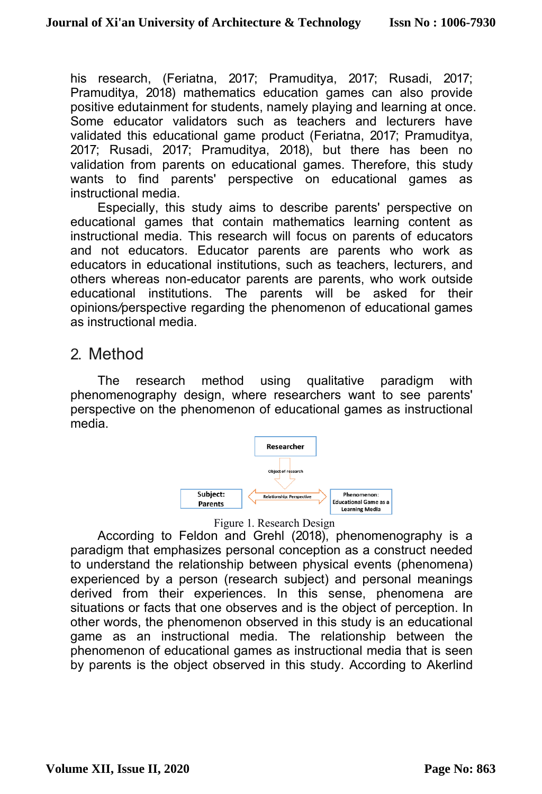his research, (Feriatna, 2017; Pramuditya, 2017; Rusadi, 2017; Pramuditya, 2018) mathematics education games can also provide positive edutainment for students, namely playing and learning at once. Some educator validators such as teachers and lecturers have validated this educational game product (Feriatna, 2017; Pramuditya, 2017; Rusadi, 2017; Pramuditya, 2018), but there has been no validation from parents on educational games. Therefore, this study wants to find parents' perspective on educational games as instructional media.

Especially, this study aims to describe parents' perspective on educational games that contain mathematics learning content as instructional media. This research will focus on parents of educators and not educators. Educator parents are parents who work as educators in educational institutions, such as teachers, lecturers, and others whereas non-educator parents are parents, who work outside educational institutions. The parents will be asked for their opinions*/*perspective regarding the phenomenon of educational games as instructional media.

# 2. Method

The research method using qualitative paradigm with phenomenography design, where researchers want to see parents' perspective on the phenomenon of educational games as instructional media.





According to Feldon and Grehl (2018), phenomenography is a paradigm that emphasizes personal conception as a construct needed to understand the relationship between physical events (phenomena) experienced by a person (research subject) and personal meanings derived from their experiences. In this sense, phenomena are situations or facts that one observes and is the object of perception. In other words, the phenomenon observed in this study is an educational game as an instructional media. The relationship between the phenomenon of educational games as instructional media that is seen by parents is the object observed in this study. According to Akerlind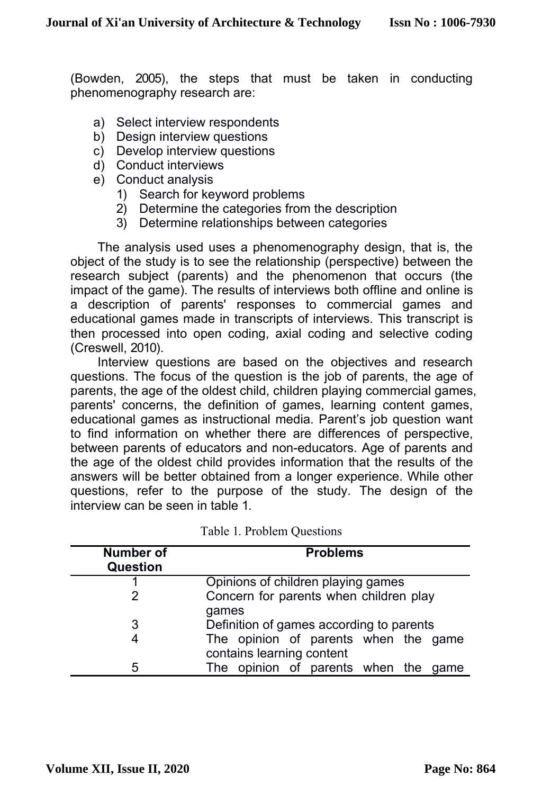(Bowden, 2005), the steps that must be taken in conducting phenomenography research are:

- a) Select interview respondents
- b) Design interview questions
- c) Develop interview questions
- d) Conduct interviews
- e) Conduct analysis
	- 1) Search for keyword problems
	- 2) Determine the categories from the description
	- 3) Determine relationships between categories

The analysis used uses a phenomenography design, that is, the object of the study is to see the relationship (perspective) between the research subject (parents) and the phenomenon that occurs (the impact of the game). The results of interviews both offline and online is a description of parents' responses to commercial games and educational games made in transcripts of interviews. This transcript is then processed into open coding, axial coding and selective coding (Creswell, 2010).

Interview questions are based on the objectives and research questions. The focus of the question is the job of parents, the age of parents, the age of the oldest child, children playing commercial games, parents' concerns, the definition of games, learning content games, educational games as instructional media. Parent's job question want to find information on whether there are differences of perspective, between parents of educators and non-educators. Age of parents and the age of the oldest child provides information that the results of the answers will be better obtained from a longer experience. While other questions, refer to the purpose of the study. The design of the interview can be seen in table 1.

| Number of<br>Question | <b>Problems</b>                                 |  |  |  |  |  |  |
|-----------------------|-------------------------------------------------|--|--|--|--|--|--|
|                       | Opinions of children playing games              |  |  |  |  |  |  |
|                       | Concern for parents when children play<br>games |  |  |  |  |  |  |
| 3                     | Definition of games according to parents        |  |  |  |  |  |  |
| 4                     | The opinion of parents when the game            |  |  |  |  |  |  |
|                       | contains learning content                       |  |  |  |  |  |  |
| 5                     | The opinion of parents when the<br>qame         |  |  |  |  |  |  |

Table 1. Problem Questions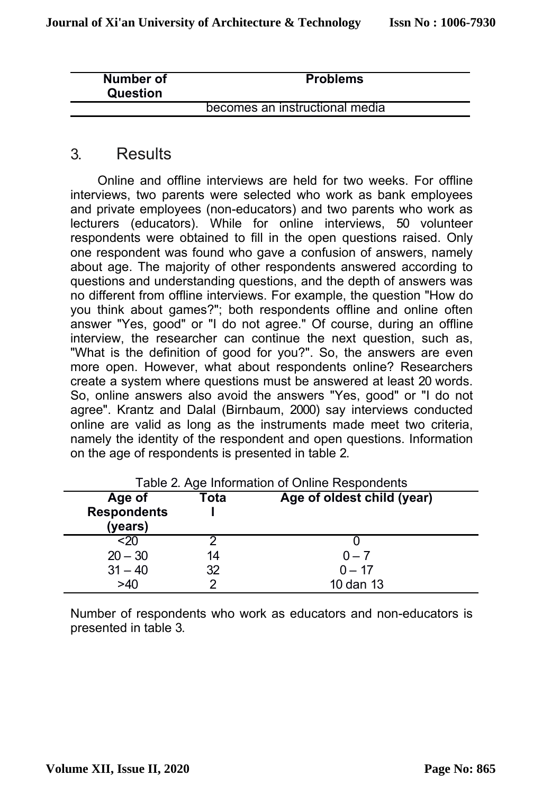| Number of<br>Question | <b>Problems</b>                |  |
|-----------------------|--------------------------------|--|
|                       | becomes an instructional media |  |

### 3. Results

Online and offline interviews are held for two weeks. For offline interviews, two parents were selected who work as bank employees and private employees (non-educators) and two parents who work as lecturers (educators). While for online interviews, 50 volunteer respondents were obtained to fill in the open questions raised. Only one respondent was found who gave a confusion of answers, namely about age. The majority of other respondents answered according to questions and understanding questions, and the depth of answers was no different from offline interviews. For example, the question "How do you think about games?"; both respondents offline and online often answer "Yes, good" or "I do not agree." Of course, during an offline interview, the researcher can continue the next question, such as, "What is the definition of good for you?". So, the answers are even more open. However, what about respondents online? Researchers create a system where questions must be answered at least 20 words. So, online answers also avoid the answers "Yes, good" or "I do not agree". Krantz and Dalal (Birnbaum, 2000) say interviews conducted online are valid as long as the instruments made meet two criteria, namely the identity of the respondent and open questions. Information on the age of respondents is presented in table 2.

| Table 2. Age Information of Online Respondents |      |                            |  |  |  |  |
|------------------------------------------------|------|----------------------------|--|--|--|--|
| Age of                                         | Tota | Age of oldest child (year) |  |  |  |  |
| <b>Respondents</b>                             |      |                            |  |  |  |  |
| (years)                                        |      |                            |  |  |  |  |
| <20                                            |      |                            |  |  |  |  |
| $20 - 30$                                      | 14   | $0 - 7$                    |  |  |  |  |
| $31 - 40$                                      | 32   | $0 - 17$                   |  |  |  |  |
| >40                                            |      | 10 dan 13                  |  |  |  |  |

Number of respondents who work as educators and non-educators is presented in table 3.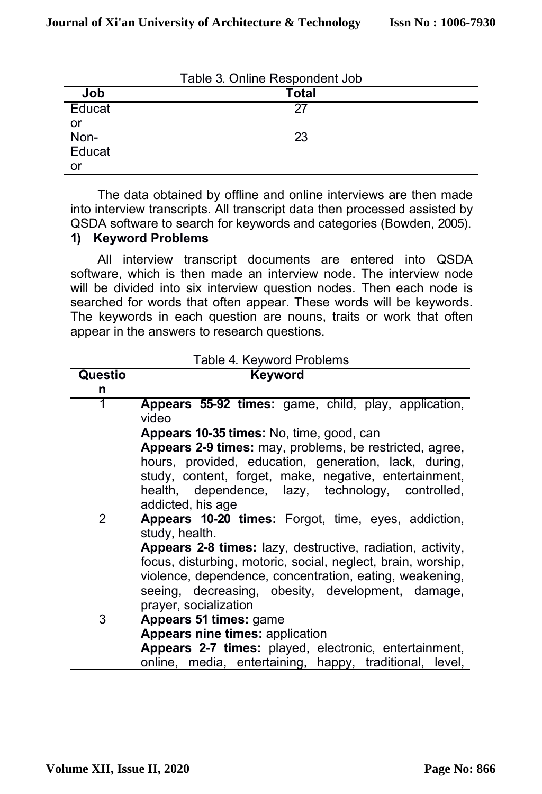|        | Table 3. Online Respondent Job |  |
|--------|--------------------------------|--|
| Job    | <b>Total</b>                   |  |
| Educat | 27                             |  |
| or     |                                |  |
| Non-   | 23                             |  |
| Educat |                                |  |
| or     |                                |  |

The data obtained by offline and online interviews are then made into interview transcripts. All transcript data then processed assisted by QSDA software to search for keywords and categories (Bowden, 2005).

#### **1) Keyword Problems**

All interview transcript documents are entered into QSDA software, which is then made an interview node. The interview node will be divided into six interview question nodes. Then each node is searched for words that often appear. These words will be keywords. The keywords in each question are nouns, traits or work that often appear in the answers to research questions.

|         | Table 4. Keyword Problems                                    |  |  |  |  |  |
|---------|--------------------------------------------------------------|--|--|--|--|--|
| Questio | <b>Keyword</b>                                               |  |  |  |  |  |
| n       |                                                              |  |  |  |  |  |
| 1       | Appears 55-92 times: game, child, play, application,         |  |  |  |  |  |
|         | video                                                        |  |  |  |  |  |
|         | Appears 10-35 times: No, time, good, can                     |  |  |  |  |  |
|         | Appears 2-9 times: may, problems, be restricted, agree,      |  |  |  |  |  |
|         | hours, provided, education, generation, lack, during,        |  |  |  |  |  |
|         | study, content, forget, make, negative, entertainment,       |  |  |  |  |  |
|         | health, dependence, lazy, technology, controlled,            |  |  |  |  |  |
|         | addicted, his age                                            |  |  |  |  |  |
| 2       | Appears 10-20 times: Forgot, time, eyes, addiction,          |  |  |  |  |  |
|         | study, health.                                               |  |  |  |  |  |
|         | Appears 2-8 times: lazy, destructive, radiation, activity,   |  |  |  |  |  |
|         | focus, disturbing, motoric, social, neglect, brain, worship, |  |  |  |  |  |
|         | violence, dependence, concentration, eating, weakening,      |  |  |  |  |  |
|         | seeing, decreasing, obesity, development, damage,            |  |  |  |  |  |
|         | prayer, socialization                                        |  |  |  |  |  |
| 3       | Appears 51 times: game                                       |  |  |  |  |  |
|         | Appears nine times: application                              |  |  |  |  |  |
|         | Appears 2-7 times: played, electronic, entertainment,        |  |  |  |  |  |
|         | online, media, entertaining, happy, traditional, level,      |  |  |  |  |  |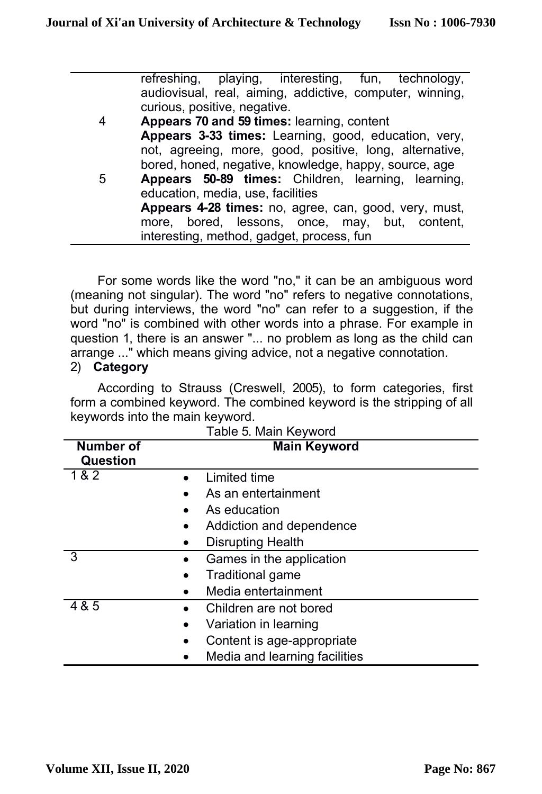|   | refreshing, playing, interesting, fun, technology,       |
|---|----------------------------------------------------------|
|   | audiovisual, real, aiming, addictive, computer, winning, |
|   | curious, positive, negative.                             |
| 4 | Appears 70 and 59 times: learning, content               |
|   | Appears 3-33 times: Learning, good, education, very,     |
|   | not, agreeing, more, good, positive, long, alternative,  |
|   | bored, honed, negative, knowledge, happy, source, age    |
| 5 | Appears 50-89 times: Children, learning, learning,       |
|   | education, media, use, facilities                        |
|   | Appears 4-28 times: no, agree, can, good, very, must,    |
|   | more, bored, lessons, once, may, but, content,           |
|   | interesting, method, gadget, process, fun                |

For some words like the word "no," it can be an ambiguous word (meaning not singular). The word "no" refers to negative connotations, but during interviews, the word "no" can refer to a suggestion, if the word "no" is combined with other words into a phrase. For example in question 1, there is an answer "... no problem as long as the child can arrange ..." which means giving advice, not a negative connotation.

#### 2) **Category**

According to Strauss (Creswell, 2005), to form categories, first form a combined keyword. The combined keyword is the stripping of all keywords into the main keyword.

| Number of<br>Question | <b>Main Keyword</b>           |
|-----------------------|-------------------------------|
| 1&2                   | Limited time                  |
|                       | As an entertainment           |
|                       | As education                  |
|                       | Addiction and dependence      |
|                       | <b>Disrupting Health</b>      |
| 3<br>٠                | Games in the application      |
| ٠                     | Traditional game              |
|                       | Media entertainment           |
| 4 & 5<br>$\bullet$    | Children are not bored        |
| ٠                     | Variation in learning         |
| ٠                     | Content is age-appropriate    |
|                       | Media and learning facilities |

|  |  |  |  | Table 5. Main Keyword |
|--|--|--|--|-----------------------|
|--|--|--|--|-----------------------|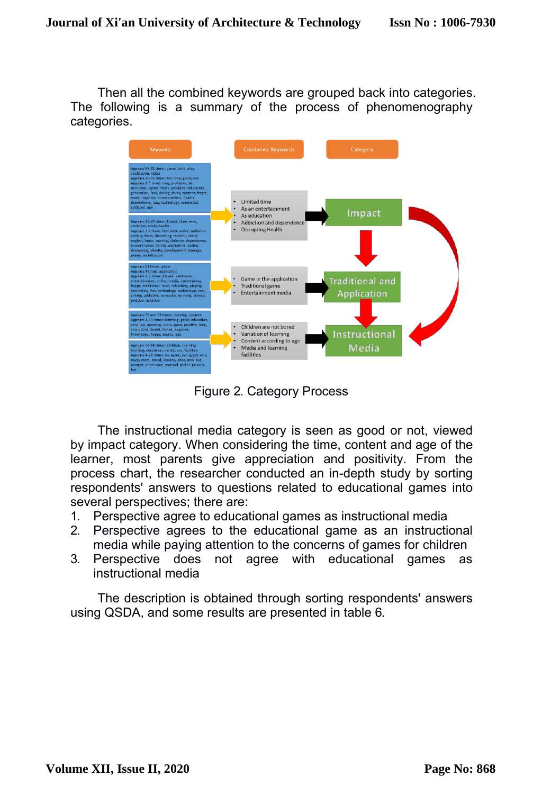Then all the combined keywords are grouped back into categories. The following is a summary of the process of phenomenography categories.



Figure 2. Category Process

The instructional media category is seen as good or not, viewed by impact category. When considering the time, content and age of the learner, most parents give appreciation and positivity. From the process chart, the researcher conducted an in-depth study by sorting respondents' answers to questions related to educational games into several perspectives; there are:

- 1. Perspective agree to educational games as instructional media
- 2. Perspective agrees to the educational game as an instructional media while paying attention to the concerns of games for children
- 3. Perspective does not agree with educational games as instructional media

The description is obtained through sorting respondents' answers using QSDA, and some results are presented in table 6.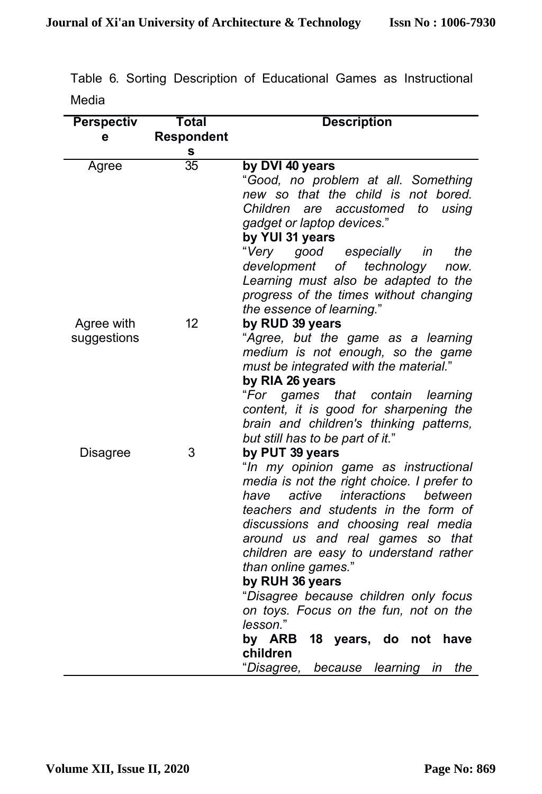|       |  |  |  | Table 6. Sorting Description of Educational Games as Instructional |
|-------|--|--|--|--------------------------------------------------------------------|
| Media |  |  |  |                                                                    |

| <b>Perspectiv</b>         | <b>Total</b>      | <b>Description</b>                                                                                                                                                                                                                                                                                                                                                                                                                                                                                                                                 |  |  |  |  |
|---------------------------|-------------------|----------------------------------------------------------------------------------------------------------------------------------------------------------------------------------------------------------------------------------------------------------------------------------------------------------------------------------------------------------------------------------------------------------------------------------------------------------------------------------------------------------------------------------------------------|--|--|--|--|
| е                         | <b>Respondent</b> |                                                                                                                                                                                                                                                                                                                                                                                                                                                                                                                                                    |  |  |  |  |
|                           | S                 |                                                                                                                                                                                                                                                                                                                                                                                                                                                                                                                                                    |  |  |  |  |
| Agree                     | $\overline{35}$   | by DVI 40 years<br>"Good, no problem at all. Something<br>new so that the child is not bored.<br>Children<br>accustomed<br>are<br>to<br>using<br>gadget or laptop devices."<br>by YUI 31 years<br>"Very<br>good<br>especially<br>in<br>the<br>of technology<br>development<br>now.<br>Learning must also be adapted to the<br>progress of the times without changing                                                                                                                                                                               |  |  |  |  |
| Agree with<br>suggestions | 12                | the essence of learning."<br>by RUD 39 years<br>"Agree, but the game as a learning<br>medium is not enough, so the game<br>must be integrated with the material."<br>by RIA 26 years<br>"For games that contain<br>learning<br>content, it is good for sharpening the<br>brain and children's thinking patterns,<br>but still has to be part of it."                                                                                                                                                                                               |  |  |  |  |
| Disagree                  | 3                 | by PUT 39 years<br>"In my opinion game as instructional<br>media is not the right choice. I prefer to<br>active<br>interactions<br>between<br>have<br>teachers and students in the form of<br>discussions and choosing real media<br>around us and real games so that<br>children are easy to understand rather<br>than online games."<br>by RUH 36 years<br>"Disagree because children only focus<br>on toys. Focus on the fun, not on the<br>lesson."<br>by ARB<br>18 years, do not<br>have<br>children<br>"Disagree, because learning in<br>the |  |  |  |  |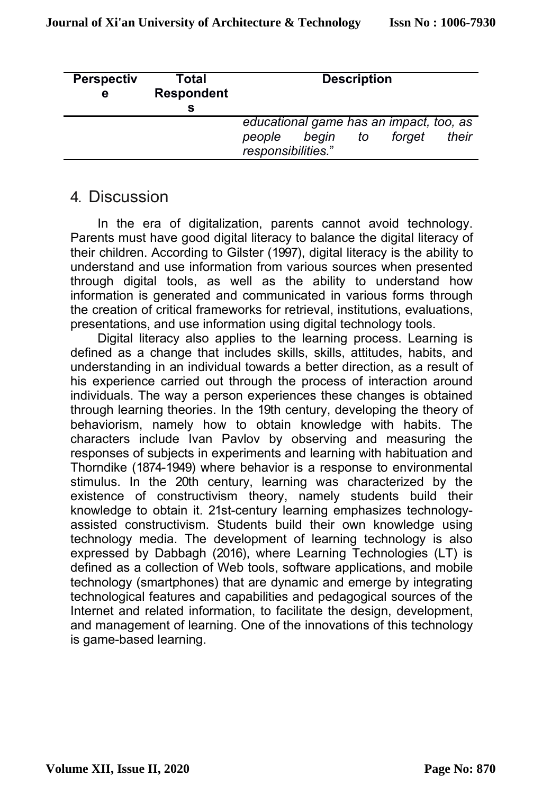| <b>Perspectiv</b><br>е | Total<br><b>Respondent</b> |                              |                                                  | <b>Description</b> |        |       |
|------------------------|----------------------------|------------------------------|--------------------------------------------------|--------------------|--------|-------|
|                        |                            | people<br>responsibilities." | educational game has an impact, too, as<br>begin | to                 | forget | their |

# 4. Discussion

In the era of digitalization, parents cannot avoid technology. Parents must have good digital literacy to balance the digital literacy of their children. According to Gilster (1997), digital literacy is the ability to understand and use information from various sources when presented through digital tools, as well as the ability to understand how information is generated and communicated in various forms through the creation of critical frameworks for retrieval, institutions, evaluations, presentations, and use information using digital technology tools.

Digital literacy also applies to the learning process. Learning is defined as a change that includes skills, skills, attitudes, habits, and understanding in an individual towards a better direction, as a result of his experience carried out through the process of interaction around individuals. The way a person experiences these changes is obtained through learning theories. In the 19th century, developing the theory of behaviorism, namely how to obtain knowledge with habits. The characters include Ivan Pavlov by observing and measuring the responses of subjects in experiments and learning with habituation and Thorndike (1874-1949) where behavior is a response to environmental stimulus. In the 20th century, learning was characterized by the existence of constructivism theory, namely students build their knowledge to obtain it. 21st-century learning emphasizes technologyassisted constructivism. Students build their own knowledge using technology media. The development of learning technology is also expressed by Dabbagh (2016), where Learning Technologies (LT) is defined as a collection of Web tools, software applications, and mobile technology (smartphones) that are dynamic and emerge by integrating technological features and capabilities and pedagogical sources of the Internet and related information, to facilitate the design, development, and management of learning. One of the innovations of this technology is game-based learning.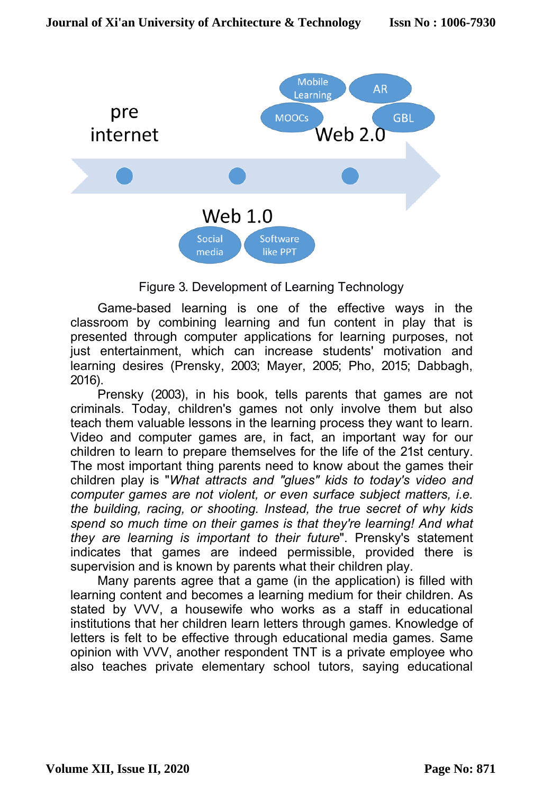

#### Figure 3. Development of Learning Technology

Game-based learning is one of the effective ways in the classroom by combining learning and fun content in play that is presented through computer applications for learning purposes, not just entertainment, which can increase students' motivation and learning desires (Prensky, 2003; Mayer, 2005; Pho, 2015; Dabbagh, 2016).

Prensky (2003), in his book, tells parents that games are not criminals. Today, children's games not only involve them but also teach them valuable lessons in the learning process they want to learn. Video and computer games are, in fact, an important way for our children to learn to prepare themselves for the life of the 21st century. The most important thing parents need to know about the games their children play is "*What attracts and "glues" kids to today's video and computer games are not violent, or even surface subject matters, i.e. the building, racing, or shooting. Instead, the true secret of why kids spend so much time on their games is that they're learning! And what they are learning is important to their future*". Prensky's statement indicates that games are indeed permissible, provided there is supervision and is known by parents what their children play.

Many parents agree that a game (in the application) is filled with learning content and becomes a learning medium for their children. As stated by VVV, a housewife who works as a staff in educational institutions that her children learn letters through games. Knowledge of letters is felt to be effective through educational media games. Same opinion with VVV, another respondent TNT is a private employee who also teaches private elementary school tutors, saying educational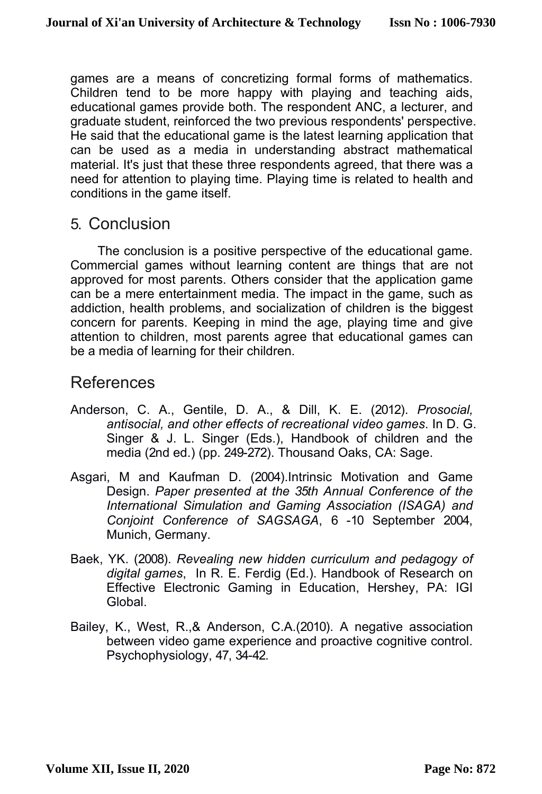games are a means of concretizing formal forms of mathematics. Children tend to be more happy with playing and teaching aids, educational games provide both. The respondent ANC, a lecturer, and graduate student, reinforced the two previous respondents' perspective. He said that the educational game is the latest learning application that can be used as a media in understanding abstract mathematical material. It's just that these three respondents agreed, that there was a need for attention to playing time. Playing time is related to health and conditions in the game itself.

# 5. Conclusion

The conclusion is a positive perspective of the educational game. Commercial games without learning content are things that are not approved for most parents. Others consider that the application game can be a mere entertainment media. The impact in the game, such as addiction, health problems, and socialization of children is the biggest concern for parents. Keeping in mind the age, playing time and give attention to children, most parents agree that educational games can be a media of learning for their children.

# References

- Anderson, C. A., Gentile, D. A., & Dill, K. E. (2012). *Prosocial, antisocial, and other effects of recreational video games*. In D. G. Singer & J. L. Singer (Eds.), Handbook of children and the media (2nd ed.) (pp. 249-272). Thousand Oaks, CA: Sage.
- Asgari, M and Kaufman D. (2004).Intrinsic Motivation and Game Design. *Paper presented at the 35th Annual Conference of the International Simulation and Gaming Association (ISAGA) and Conjoint Conference of SAGSAGA*, 6 -10 September 2004, Munich, Germany.
- Baek, YK. (2008). *Revealing new hidden curriculum and pedagogy of digital games*, In R. E. Ferdig (Ed.). Handbook of Research on Effective Electronic Gaming in Education, Hershey, PA: IGI Global.
- Bailey, K., West, R.,& Anderson, C.A.(2010). A negative association between video game experience and proactive cognitive control. Psychophysiology, 47, 34-42.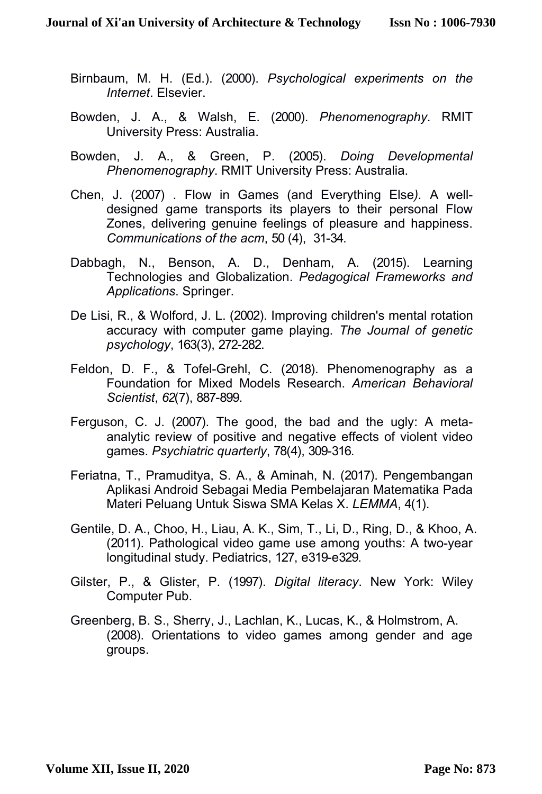- Birnbaum, M. H. (Ed.). (2000). *Psychological experiments on the Internet*. Elsevier.
- Bowden, J. A., & Walsh, E. (2000). *Phenomenography*. RMIT University Press: Australia.
- Bowden, J. A., & Green, P. (2005). *Doing Developmental Phenomenography*. RMIT University Press: Australia.
- Chen, J. (2007) . Flow in Games (and Everything Else*).* A welldesigned game transports its players to their personal Flow Zones, delivering genuine feelings of pleasure and happiness. *Communications of the acm*, 50 (4), 31-34.
- Dabbagh, N., Benson, A. D., Denham, A. (2015). Learning Technologies and Globalization. *Pedagogical Frameworks and Applications*. Springer.
- De Lisi, R., & Wolford, J. L. (2002). Improving children's mental rotation accuracy with computer game playing. *The Journal of genetic psychology*, 163(3), 272-282.
- Feldon, D. F., & Tofel-Grehl, C. (2018). Phenomenography as a Foundation for Mixed Models Research. *American Behavioral Scientist*, *62*(7), 887-899.
- Ferguson, C. J. (2007). The good, the bad and the ugly: A metaanalytic review of positive and negative effects of violent video games. *Psychiatric quarterly*, 78(4), 309-316.
- Feriatna, T., Pramuditya, S. A., & Aminah, N. (2017). Pengembangan Aplikasi Android Sebagai Media Pembelajaran Matematika Pada Materi Peluang Untuk Siswa SMA Kelas X. *LEMMA*, 4(1).
- Gentile, D. A., Choo, H., Liau, A. K., Sim, T., Li, D., Ring, D., & Khoo, A. (2011). Pathological video game use among youths: A two-year longitudinal study. Pediatrics, 127, e319-e329.
- Gilster, P., & Glister, P. (1997). *Digital literacy*. New York: Wiley Computer Pub.
- Greenberg, B. S., Sherry, J., Lachlan, K., Lucas, K., & Holmstrom, A. (2008). Orientations to video games among gender and age groups.